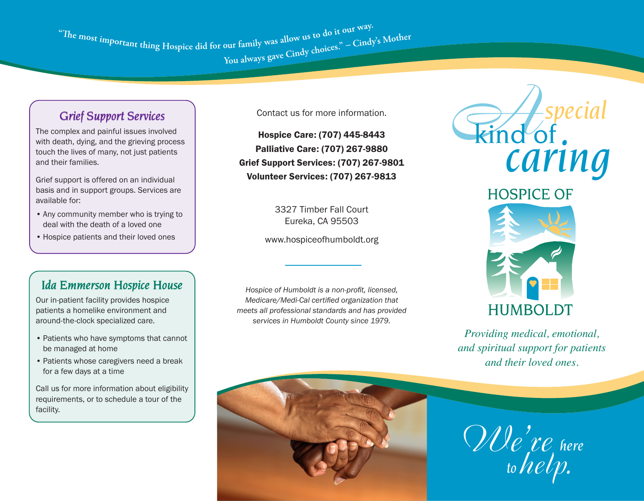"The most important thing Hospice did for our family was allow us to do it our way. You always gave Cindy choices." - Cindy's Mother

## *Grief Support Services*

The complex and painful issues involved with death, dying, and the grieving process touch the lives of many, not just patients and their families.

Grief support is offered on an individual basis and in support groups. Services are available for:

- Any community member who is trying to deal with the death of a loved one
- Hospice patients and their loved ones

## *Ida Emmerson Hospice House*

Our in-patient facility provides hospice patients a homelike environment and around-the-clock specialized care.

- Patients who have symptoms that cannot be managed at home
- Patients whose caregivers need a break for a few days at a time

Call us for more information about eligibility requirements, or to schedule a tour of the facility.

Contact us for more information.

Hospice Care: (707) 445-8443 Palliative Care: (707) 267-9880 Grief Support Services: (707) 267-9801 Volunteer Services: (707) 267-9813

> 3327 Timber Fall Court Eureka, CA 95503

www.hospiceofhumboldt.org

*Hospice of Humboldt is a non-profit, licensed, Medicare/Medi-Cal certified organization that meets all professional standards and has provided services in Humboldt County since 1979.* 



# **HUMBOLDT**

*Providing medical, emotional, and spiritual support for patients and their loved ones.*



*We're help. here to*